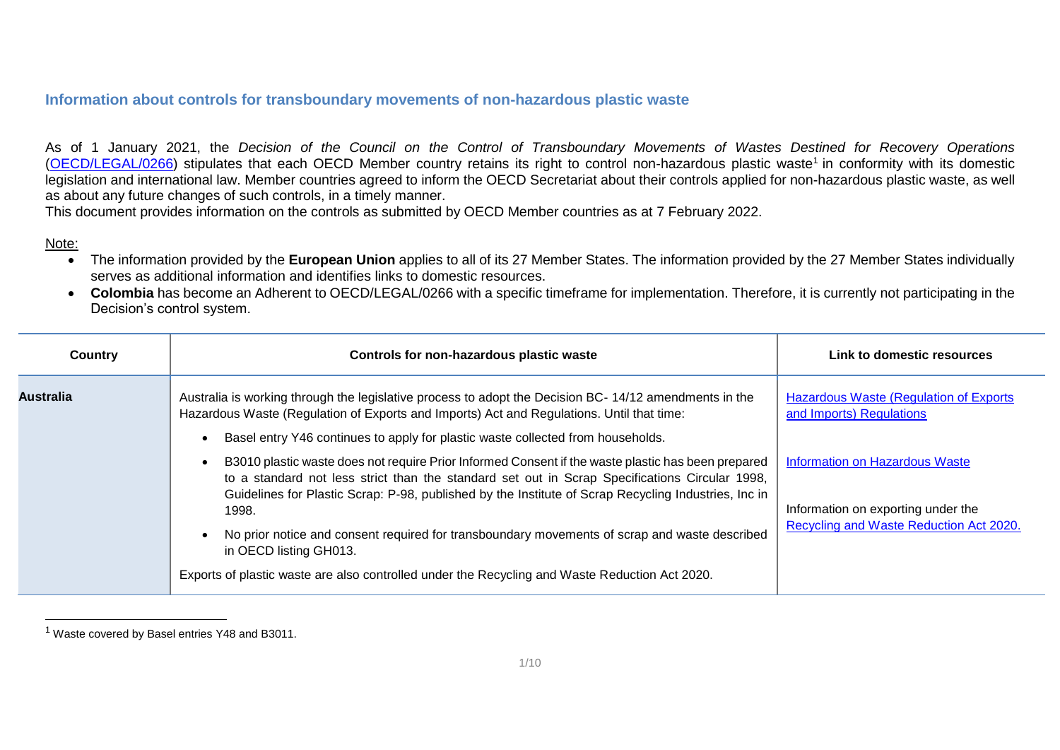## **Information about controls for transboundary movements of non-hazardous plastic waste**

As of 1 January 2021, the *Decision of the Council on the Control of Transboundary Movements of Wastes Destined for Recovery Operations* [\(OECD/LEGAL/0266\)](https://legalinstruments.oecd.org/en/instruments/OECD-LEGAL-0266) stipulates that each OECD Member country retains its right to control non-hazardous plastic waste<sup>1</sup> in conformity with its domestic legislation and international law. Member countries agreed to inform the OECD Secretariat about their controls applied for non-hazardous plastic waste, as well as about any future changes of such controls, in a timely manner.

This document provides information on the controls as submitted by OECD Member countries as at 7 February 2022.

## Note:

- The information provided by the **European Union** applies to all of its 27 Member States. The information provided by the 27 Member States individually serves as additional information and identifies links to domestic resources.
- **Colombia** has become an Adherent to OECD/LEGAL/0266 with a specific timeframe for implementation. Therefore, it is currently not participating in the Decision's control system.

| Country          | Controls for non-hazardous plastic waste                                                                                                                                                                                                                                                                     | Link to domestic resources                                                 |
|------------------|--------------------------------------------------------------------------------------------------------------------------------------------------------------------------------------------------------------------------------------------------------------------------------------------------------------|----------------------------------------------------------------------------|
| <b>Australia</b> | Australia is working through the legislative process to adopt the Decision BC-14/12 amendments in the<br>Hazardous Waste (Regulation of Exports and Imports) Act and Regulations. Until that time:                                                                                                           | <b>Hazardous Waste (Regulation of Exports)</b><br>and Imports) Regulations |
|                  | Basel entry Y46 continues to apply for plastic waste collected from households.                                                                                                                                                                                                                              |                                                                            |
|                  | B3010 plastic waste does not require Prior Informed Consent if the waste plastic has been prepared<br>to a standard not less strict than the standard set out in Scrap Specifications Circular 1998,<br>Guidelines for Plastic Scrap: P-98, published by the Institute of Scrap Recycling Industries, Inc in | <b>Information on Hazardous Waste</b>                                      |
|                  | 1998.                                                                                                                                                                                                                                                                                                        | Information on exporting under the                                         |
|                  | No prior notice and consent required for transboundary movements of scrap and waste described<br>in OECD listing GH013.                                                                                                                                                                                      | Recycling and Waste Reduction Act 2020.                                    |
|                  | Exports of plastic waste are also controlled under the Recycling and Waste Reduction Act 2020.                                                                                                                                                                                                               |                                                                            |

<sup>1</sup> Waste covered by Basel entries Y48 and B3011.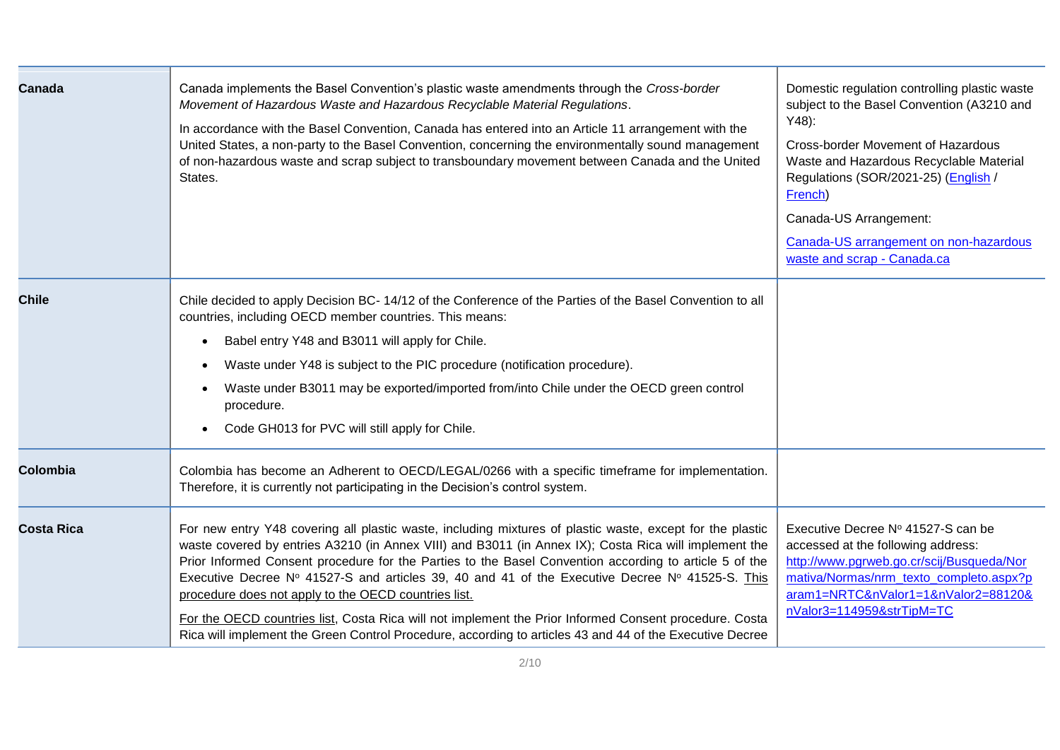| Canada            | Canada implements the Basel Convention's plastic waste amendments through the Cross-border<br>Movement of Hazardous Waste and Hazardous Recyclable Material Regulations.<br>In accordance with the Basel Convention, Canada has entered into an Article 11 arrangement with the<br>United States, a non-party to the Basel Convention, concerning the environmentally sound management<br>of non-hazardous waste and scrap subject to transboundary movement between Canada and the United<br>States.                                                                                                                                                                                                         | Domestic regulation controlling plastic waste<br>subject to the Basel Convention (A3210 and<br>$Y48$ :<br>Cross-border Movement of Hazardous<br>Waste and Hazardous Recyclable Material<br>Regulations (SOR/2021-25) (English /<br>French)<br>Canada-US Arrangement:<br>Canada-US arrangement on non-hazardous<br>waste and scrap - Canada.ca |
|-------------------|---------------------------------------------------------------------------------------------------------------------------------------------------------------------------------------------------------------------------------------------------------------------------------------------------------------------------------------------------------------------------------------------------------------------------------------------------------------------------------------------------------------------------------------------------------------------------------------------------------------------------------------------------------------------------------------------------------------|-----------------------------------------------------------------------------------------------------------------------------------------------------------------------------------------------------------------------------------------------------------------------------------------------------------------------------------------------|
| <b>Chile</b>      | Chile decided to apply Decision BC-14/12 of the Conference of the Parties of the Basel Convention to all<br>countries, including OECD member countries. This means:<br>Babel entry Y48 and B3011 will apply for Chile.<br>$\bullet$<br>Waste under Y48 is subject to the PIC procedure (notification procedure).<br>$\bullet$<br>Waste under B3011 may be exported/imported from/into Chile under the OECD green control<br>$\bullet$<br>procedure.<br>Code GH013 for PVC will still apply for Chile.                                                                                                                                                                                                         |                                                                                                                                                                                                                                                                                                                                               |
| Colombia          | Colombia has become an Adherent to OECD/LEGAL/0266 with a specific timeframe for implementation.<br>Therefore, it is currently not participating in the Decision's control system.                                                                                                                                                                                                                                                                                                                                                                                                                                                                                                                            |                                                                                                                                                                                                                                                                                                                                               |
| <b>Costa Rica</b> | For new entry Y48 covering all plastic waste, including mixtures of plastic waste, except for the plastic<br>waste covered by entries A3210 (in Annex VIII) and B3011 (in Annex IX); Costa Rica will implement the<br>Prior Informed Consent procedure for the Parties to the Basel Convention according to article 5 of the<br>Executive Decree Nº 41527-S and articles 39, 40 and 41 of the Executive Decree Nº 41525-S. This<br>procedure does not apply to the OECD countries list.<br>For the OECD countries list, Costa Rica will not implement the Prior Informed Consent procedure. Costa<br>Rica will implement the Green Control Procedure, according to articles 43 and 44 of the Executive Decree | Executive Decree Nº 41527-S can be<br>accessed at the following address:<br>http://www.pgrweb.go.cr/scij/Busqueda/Nor<br>mativa/Normas/nrm texto completo.aspx?p<br>aram1=NRTC&nValor1=1&nValor2=88120&<br>nValor3=114959&strTipM=TC                                                                                                          |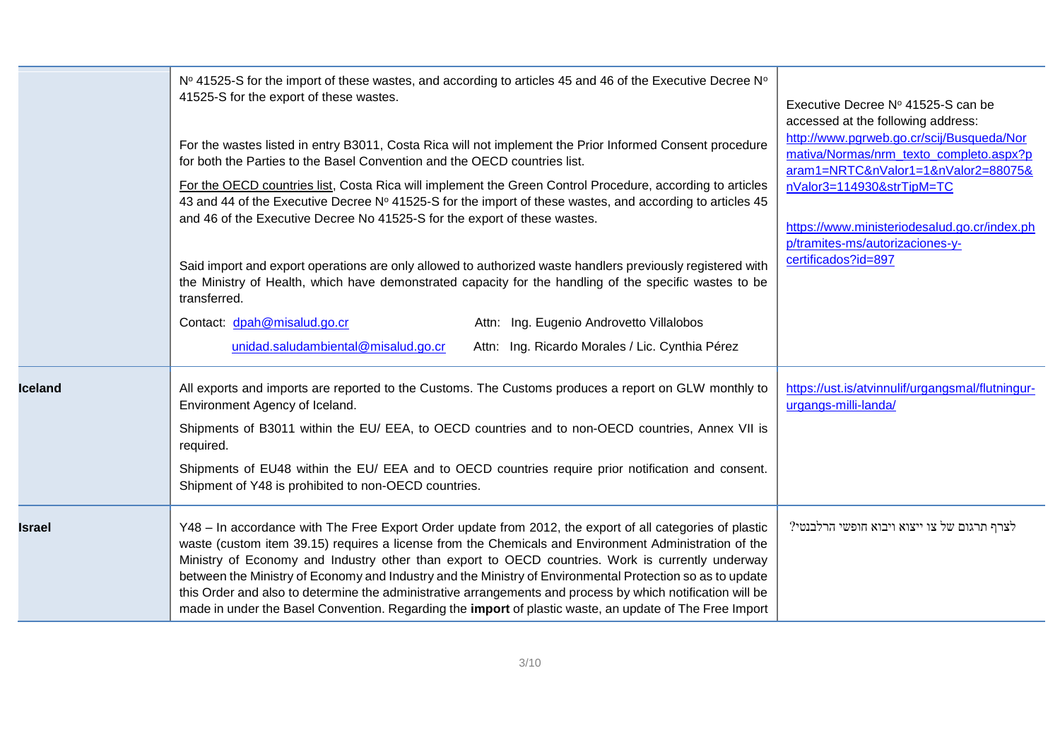|                | Nº 41525-S for the import of these wastes, and according to articles 45 and 46 of the Executive Decree N°<br>41525-S for the export of these wastes.<br>For the wastes listed in entry B3011, Costa Rica will not implement the Prior Informed Consent procedure<br>for both the Parties to the Basel Convention and the OECD countries list.<br>For the OECD countries list, Costa Rica will implement the Green Control Procedure, according to articles<br>43 and 44 of the Executive Decree Nº 41525-S for the import of these wastes, and according to articles 45<br>and 46 of the Executive Decree No 41525-S for the export of these wastes.<br>Said import and export operations are only allowed to authorized waste handlers previously registered with<br>the Ministry of Health, which have demonstrated capacity for the handling of the specific wastes to be<br>transferred.<br>Contact: dpah@misalud.go.cr<br>Attn: Ing. Eugenio Androvetto Villalobos<br>unidad.saludambiental@misalud.go.cr<br>Attn: Ing. Ricardo Morales / Lic. Cynthia Pérez | Executive Decree Nº 41525-S can be<br>accessed at the following address:<br>http://www.pgrweb.go.cr/scij/Busqueda/Nor<br>mativa/Normas/nrm texto completo.aspx?p<br>aram1=NRTC&nValor1=1&nValor2=88075&<br>nValor3=114930&strTipM=TC<br>https://www.ministeriodesalud.go.cr/index.ph<br>p/tramites-ms/autorizaciones-y-<br>certificados?id=897 |
|----------------|-------------------------------------------------------------------------------------------------------------------------------------------------------------------------------------------------------------------------------------------------------------------------------------------------------------------------------------------------------------------------------------------------------------------------------------------------------------------------------------------------------------------------------------------------------------------------------------------------------------------------------------------------------------------------------------------------------------------------------------------------------------------------------------------------------------------------------------------------------------------------------------------------------------------------------------------------------------------------------------------------------------------------------------------------------------------|------------------------------------------------------------------------------------------------------------------------------------------------------------------------------------------------------------------------------------------------------------------------------------------------------------------------------------------------|
| <b>Iceland</b> | All exports and imports are reported to the Customs. The Customs produces a report on GLW monthly to<br>Environment Agency of Iceland.<br>Shipments of B3011 within the EU/ EEA, to OECD countries and to non-OECD countries, Annex VII is<br>required.<br>Shipments of EU48 within the EU/ EEA and to OECD countries require prior notification and consent.<br>Shipment of Y48 is prohibited to non-OECD countries.                                                                                                                                                                                                                                                                                                                                                                                                                                                                                                                                                                                                                                             | https://ust.is/atvinnulif/urgangsmal/flutningur-<br>urgangs-milli-landa/                                                                                                                                                                                                                                                                       |
| <b>Israel</b>  | Y48 - In accordance with The Free Export Order update from 2012, the export of all categories of plastic<br>waste (custom item 39.15) requires a license from the Chemicals and Environment Administration of the<br>Ministry of Economy and Industry other than export to OECD countries. Work is currently underway<br>between the Ministry of Economy and Industry and the Ministry of Environmental Protection so as to update<br>this Order and also to determine the administrative arrangements and process by which notification will be<br>made in under the Basel Convention. Regarding the import of plastic waste, an update of The Free Import                                                                                                                                                                                                                                                                                                                                                                                                       | לצרף תרגום של צו ייצוא ויבוא חופשי הרלבנטי?                                                                                                                                                                                                                                                                                                    |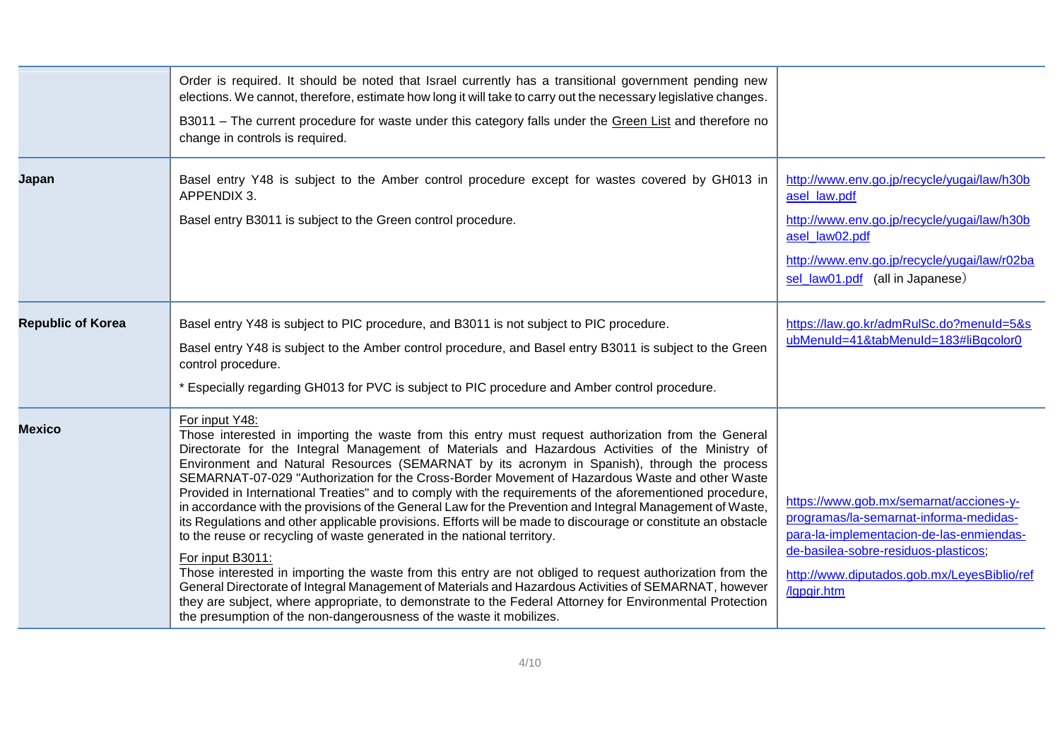|                          | Order is required. It should be noted that Israel currently has a transitional government pending new<br>elections. We cannot, therefore, estimate how long it will take to carry out the necessary legislative changes.<br>B3011 - The current procedure for waste under this category falls under the Green List and therefore no<br>change in controls is required.                                                                                                                                                                                                                                                                                                                                                                                                                                                                                                                                                                                                                                                                                                                                                                                                                                                                                                        |                                                                                                                                                                                                                                     |
|--------------------------|-------------------------------------------------------------------------------------------------------------------------------------------------------------------------------------------------------------------------------------------------------------------------------------------------------------------------------------------------------------------------------------------------------------------------------------------------------------------------------------------------------------------------------------------------------------------------------------------------------------------------------------------------------------------------------------------------------------------------------------------------------------------------------------------------------------------------------------------------------------------------------------------------------------------------------------------------------------------------------------------------------------------------------------------------------------------------------------------------------------------------------------------------------------------------------------------------------------------------------------------------------------------------------|-------------------------------------------------------------------------------------------------------------------------------------------------------------------------------------------------------------------------------------|
| Japan                    | Basel entry Y48 is subject to the Amber control procedure except for wastes covered by GH013 in<br>APPENDIX 3.<br>Basel entry B3011 is subject to the Green control procedure.                                                                                                                                                                                                                                                                                                                                                                                                                                                                                                                                                                                                                                                                                                                                                                                                                                                                                                                                                                                                                                                                                                | http://www.env.go.jp/recycle/yugai/law/h30b<br>asel_law.pdf<br>http://www.env.go.jp/recycle/yugai/law/h30b<br>asel law02.pdf<br>http://www.env.go.jp/recycle/yugai/law/r02ba<br>sel_law01.pdf (all in Japanese)                     |
| <b>Republic of Korea</b> | Basel entry Y48 is subject to PIC procedure, and B3011 is not subject to PIC procedure.<br>Basel entry Y48 is subject to the Amber control procedure, and Basel entry B3011 is subject to the Green<br>control procedure.<br>* Especially regarding GH013 for PVC is subject to PIC procedure and Amber control procedure.                                                                                                                                                                                                                                                                                                                                                                                                                                                                                                                                                                                                                                                                                                                                                                                                                                                                                                                                                    | https://law.go.kr/admRulSc.do?menuId=5&s<br>ubMenuId=41&tabMenuId=183#liBgcolor0                                                                                                                                                    |
| <b>Mexico</b>            | For input Y48:<br>Those interested in importing the waste from this entry must request authorization from the General<br>Directorate for the Integral Management of Materials and Hazardous Activities of the Ministry of<br>Environment and Natural Resources (SEMARNAT by its acronym in Spanish), through the process<br>SEMARNAT-07-029 "Authorization for the Cross-Border Movement of Hazardous Waste and other Waste<br>Provided in International Treaties" and to comply with the requirements of the aforementioned procedure,<br>in accordance with the provisions of the General Law for the Prevention and Integral Management of Waste,<br>its Regulations and other applicable provisions. Efforts will be made to discourage or constitute an obstacle<br>to the reuse or recycling of waste generated in the national territory.<br>For input B3011:<br>Those interested in importing the waste from this entry are not obliged to request authorization from the<br>General Directorate of Integral Management of Materials and Hazardous Activities of SEMARNAT, however<br>they are subject, where appropriate, to demonstrate to the Federal Attorney for Environmental Protection<br>the presumption of the non-dangerousness of the waste it mobilizes. | https://www.gob.mx/semarnat/acciones-y-<br>programas/la-semarnat-informa-medidas-<br>para-la-implementacion-de-las-enmiendas-<br>de-basilea-sobre-residuos-plasticos;<br>http://www.diputados.gob.mx/LeyesBiblio/ref<br>/lapgir.htm |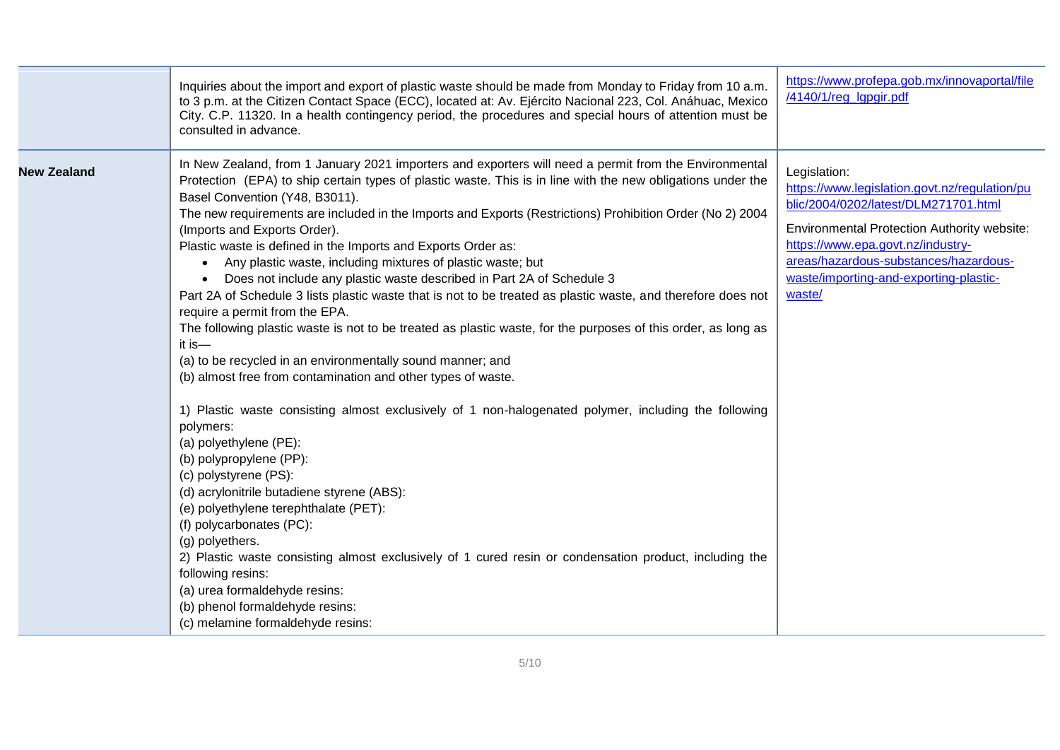|                    | Inquiries about the import and export of plastic waste should be made from Monday to Friday from 10 a.m.<br>to 3 p.m. at the Citizen Contact Space (ECC), located at: Av. Ejército Nacional 223, Col. Anáhuac, Mexico<br>City. C.P. 11320. In a health contingency period, the procedures and special hours of attention must be<br>consulted in advance.                                                                                                                                                                                                                                                                                                                                                                                                                                                                                                                                                                                                                                                                                                                                                                                                                                                                                                                                                                                                                                                                                                                                                                                                                                                                | https://www.profepa.gob.mx/innovaportal/file<br>/4140/1/reg_lgpgir.pdf                                                                                                                                                                                                                        |
|--------------------|--------------------------------------------------------------------------------------------------------------------------------------------------------------------------------------------------------------------------------------------------------------------------------------------------------------------------------------------------------------------------------------------------------------------------------------------------------------------------------------------------------------------------------------------------------------------------------------------------------------------------------------------------------------------------------------------------------------------------------------------------------------------------------------------------------------------------------------------------------------------------------------------------------------------------------------------------------------------------------------------------------------------------------------------------------------------------------------------------------------------------------------------------------------------------------------------------------------------------------------------------------------------------------------------------------------------------------------------------------------------------------------------------------------------------------------------------------------------------------------------------------------------------------------------------------------------------------------------------------------------------|-----------------------------------------------------------------------------------------------------------------------------------------------------------------------------------------------------------------------------------------------------------------------------------------------|
| <b>New Zealand</b> | In New Zealand, from 1 January 2021 importers and exporters will need a permit from the Environmental<br>Protection (EPA) to ship certain types of plastic waste. This is in line with the new obligations under the<br>Basel Convention (Y48, B3011).<br>The new requirements are included in the Imports and Exports (Restrictions) Prohibition Order (No 2) 2004<br>(Imports and Exports Order).<br>Plastic waste is defined in the Imports and Exports Order as:<br>Any plastic waste, including mixtures of plastic waste; but<br>$\bullet$<br>Does not include any plastic waste described in Part 2A of Schedule 3<br>Part 2A of Schedule 3 lists plastic waste that is not to be treated as plastic waste, and therefore does not<br>require a permit from the EPA.<br>The following plastic waste is not to be treated as plastic waste, for the purposes of this order, as long as<br>it is $-$<br>(a) to be recycled in an environmentally sound manner; and<br>(b) almost free from contamination and other types of waste.<br>1) Plastic waste consisting almost exclusively of 1 non-halogenated polymer, including the following<br>polymers:<br>(a) polyethylene (PE):<br>(b) polypropylene (PP):<br>(c) polystyrene (PS):<br>(d) acrylonitrile butadiene styrene (ABS):<br>(e) polyethylene terephthalate (PET):<br>(f) polycarbonates (PC):<br>(g) polyethers.<br>2) Plastic waste consisting almost exclusively of 1 cured resin or condensation product, including the<br>following resins:<br>(a) urea formaldehyde resins:<br>(b) phenol formaldehyde resins:<br>(c) melamine formaldehyde resins: | Legislation:<br>https://www.legislation.govt.nz/regulation/pu<br>blic/2004/0202/latest/DLM271701.html<br><b>Environmental Protection Authority website:</b><br>https://www.epa.govt.nz/industry-<br>areas/hazardous-substances/hazardous-<br>waste/importing-and-exporting-plastic-<br>waste/ |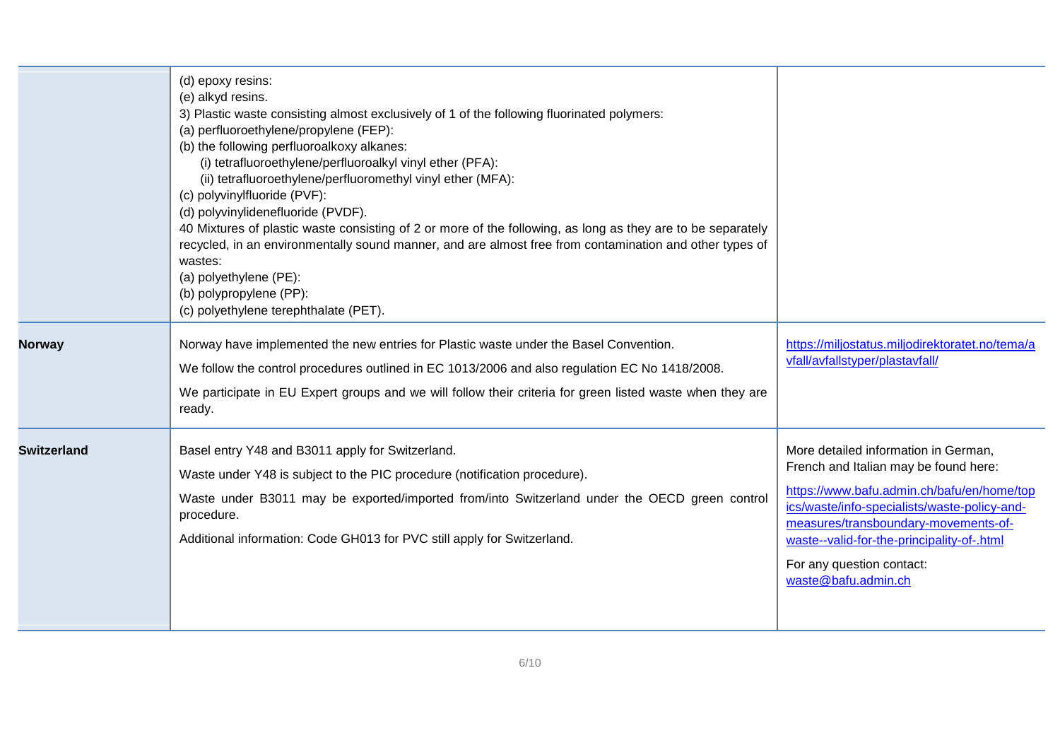|                    | (d) epoxy resins:<br>(e) alkyd resins.<br>3) Plastic waste consisting almost exclusively of 1 of the following fluorinated polymers:<br>(a) perfluoroethylene/propylene (FEP):<br>(b) the following perfluoroalkoxy alkanes:<br>(i) tetrafluoroethylene/perfluoroalkyl vinyl ether (PFA):<br>(ii) tetrafluoroethylene/perfluoromethyl vinyl ether (MFA):<br>(c) polyvinylfluoride (PVF):<br>(d) polyvinylidenefluoride (PVDF).<br>40 Mixtures of plastic waste consisting of 2 or more of the following, as long as they are to be separately<br>recycled, in an environmentally sound manner, and are almost free from contamination and other types of<br>wastes:<br>(a) polyethylene (PE):<br>(b) polypropylene (PP):<br>(c) polyethylene terephthalate (PET). |                                                                                                                                                                                                                                                                                                                       |
|--------------------|-------------------------------------------------------------------------------------------------------------------------------------------------------------------------------------------------------------------------------------------------------------------------------------------------------------------------------------------------------------------------------------------------------------------------------------------------------------------------------------------------------------------------------------------------------------------------------------------------------------------------------------------------------------------------------------------------------------------------------------------------------------------|-----------------------------------------------------------------------------------------------------------------------------------------------------------------------------------------------------------------------------------------------------------------------------------------------------------------------|
| <b>Norway</b>      | Norway have implemented the new entries for Plastic waste under the Basel Convention.<br>We follow the control procedures outlined in EC 1013/2006 and also regulation EC No 1418/2008.<br>We participate in EU Expert groups and we will follow their criteria for green listed waste when they are<br>ready.                                                                                                                                                                                                                                                                                                                                                                                                                                                    | https://miljostatus.miljodirektoratet.no/tema/a<br>vfall/avfallstyper/plastavfall/                                                                                                                                                                                                                                    |
| <b>Switzerland</b> | Basel entry Y48 and B3011 apply for Switzerland.<br>Waste under Y48 is subject to the PIC procedure (notification procedure).<br>Waste under B3011 may be exported/imported from/into Switzerland under the OECD green control<br>procedure.<br>Additional information: Code GH013 for PVC still apply for Switzerland.                                                                                                                                                                                                                                                                                                                                                                                                                                           | More detailed information in German,<br>French and Italian may be found here:<br>https://www.bafu.admin.ch/bafu/en/home/top<br>ics/waste/info-specialists/waste-policy-and-<br>measures/transboundary-movements-of-<br>waste--valid-for-the-principality-of-.html<br>For any question contact:<br>waste@bafu.admin.ch |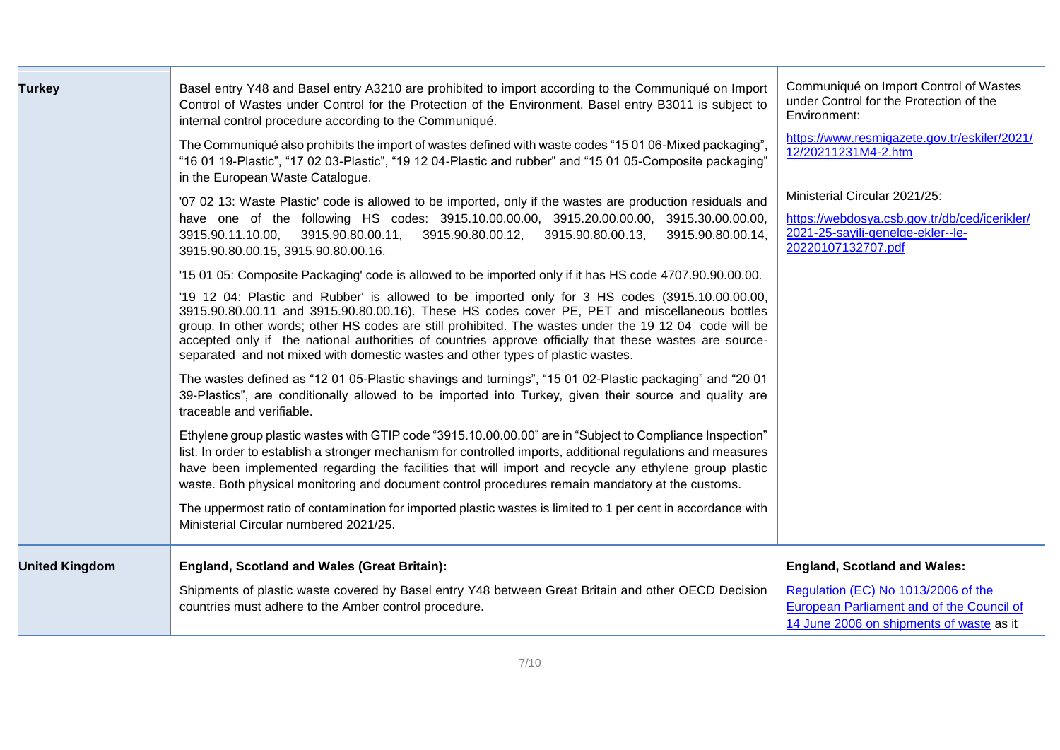| <b>Turkey</b>         | Basel entry Y48 and Basel entry A3210 are prohibited to import according to the Communiqué on Import<br>Control of Wastes under Control for the Protection of the Environment. Basel entry B3011 is subject to<br>internal control procedure according to the Communiqué.                                                                                                                                                                                                                                 | Communiqué on Import Control of Wastes<br>under Control for the Protection of the<br>Environment:                                         |
|-----------------------|-----------------------------------------------------------------------------------------------------------------------------------------------------------------------------------------------------------------------------------------------------------------------------------------------------------------------------------------------------------------------------------------------------------------------------------------------------------------------------------------------------------|-------------------------------------------------------------------------------------------------------------------------------------------|
|                       | The Communiqué also prohibits the import of wastes defined with waste codes "15 01 06-Mixed packaging",<br>"16 01 19-Plastic", "17 02 03-Plastic", "19 12 04-Plastic and rubber" and "15 01 05-Composite packaging"<br>in the European Waste Catalogue.                                                                                                                                                                                                                                                   | https://www.resmigazete.gov.tr/eskiler/2021/<br>12/20211231M4-2.htm                                                                       |
|                       | '07 02 13: Waste Plastic' code is allowed to be imported, only if the wastes are production residuals and<br>have one of the following HS codes: 3915.10.00.00.00, 3915.20.00.00.00, 3915.30.00.00.00,<br>3915.90.11.10.00, 3915.90.80.00.11,<br>3915.90.80.00.12,<br>3915.90.80.00.13,<br>3915.90.80.00.14,<br>3915.90.80.00.15, 3915.90.80.00.16.                                                                                                                                                       | Ministerial Circular 2021/25:<br>https://webdosya.csb.gov.tr/db/ced/icerikler/<br>2021-25-sayili-genelge-ekler--le-<br>20220107132707.pdf |
|                       | '15 01 05: Composite Packaging' code is allowed to be imported only if it has HS code 4707.90.90.00.00.                                                                                                                                                                                                                                                                                                                                                                                                   |                                                                                                                                           |
|                       | '19 12 04: Plastic and Rubber' is allowed to be imported only for 3 HS codes (3915.10.00.00.00,<br>3915.90.80.00.11 and 3915.90.80.00.16). These HS codes cover PE, PET and miscellaneous bottles<br>group. In other words; other HS codes are still prohibited. The wastes under the 19 12 04 code will be<br>accepted only if the national authorities of countries approve officially that these wastes are source-<br>separated and not mixed with domestic wastes and other types of plastic wastes. |                                                                                                                                           |
|                       | The wastes defined as "12 01 05-Plastic shavings and turnings", "15 01 02-Plastic packaging" and "20 01<br>39-Plastics", are conditionally allowed to be imported into Turkey, given their source and quality are<br>traceable and verifiable.                                                                                                                                                                                                                                                            |                                                                                                                                           |
|                       | Ethylene group plastic wastes with GTIP code "3915.10.00.00.00" are in "Subject to Compliance Inspection"<br>list. In order to establish a stronger mechanism for controlled imports, additional regulations and measures<br>have been implemented regarding the facilities that will import and recycle any ethylene group plastic<br>waste. Both physical monitoring and document control procedures remain mandatory at the customs.                                                                   |                                                                                                                                           |
|                       | The uppermost ratio of contamination for imported plastic wastes is limited to 1 per cent in accordance with<br>Ministerial Circular numbered 2021/25.                                                                                                                                                                                                                                                                                                                                                    |                                                                                                                                           |
| <b>United Kingdom</b> | <b>England, Scotland and Wales (Great Britain):</b>                                                                                                                                                                                                                                                                                                                                                                                                                                                       | <b>England, Scotland and Wales:</b>                                                                                                       |
|                       | Shipments of plastic waste covered by Basel entry Y48 between Great Britain and other OECD Decision<br>countries must adhere to the Amber control procedure.                                                                                                                                                                                                                                                                                                                                              | Regulation (EC) No 1013/2006 of the<br>European Parliament and of the Council of<br>14 June 2006 on shipments of waste as it              |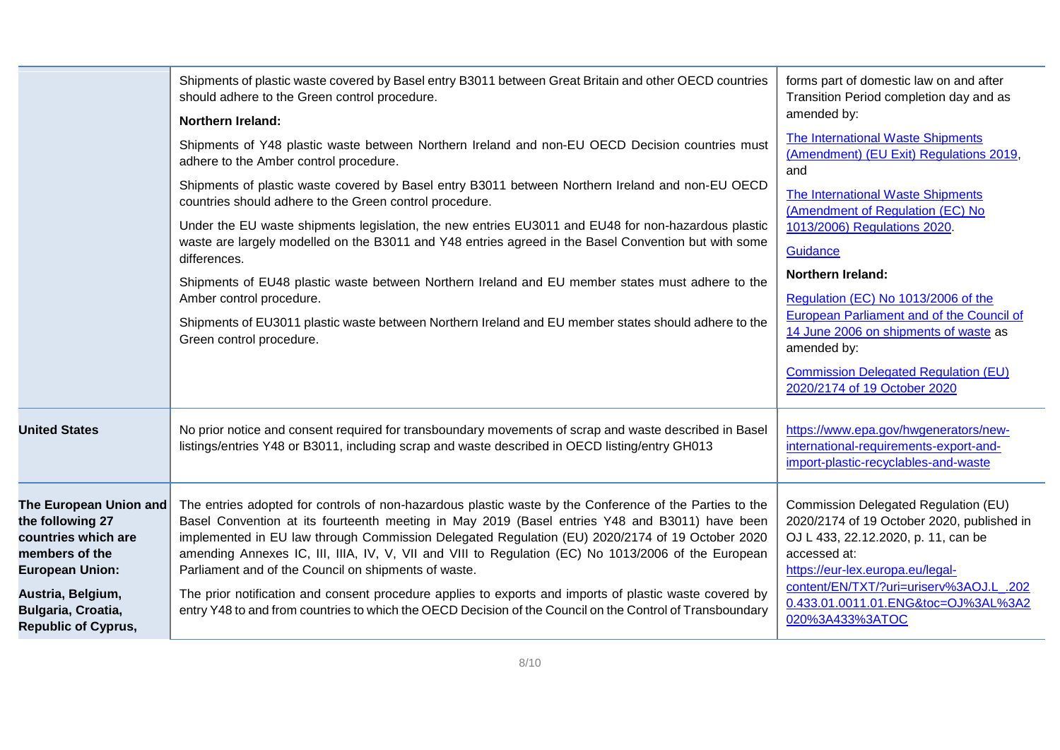| Shipments of plastic waste covered by Basel entry B3011 between Great Britain and other OECD countries<br>should adhere to the Green control procedure.<br><b>Northern Ireland:</b><br>Shipments of Y48 plastic waste between Northern Ireland and non-EU OECD Decision countries must<br>adhere to the Amber control procedure.<br>Shipments of plastic waste covered by Basel entry B3011 between Northern Ireland and non-EU OECD<br>countries should adhere to the Green control procedure.<br>Under the EU waste shipments legislation, the new entries EU3011 and EU48 for non-hazardous plastic<br>waste are largely modelled on the B3011 and Y48 entries agreed in the Basel Convention but with some<br>differences.<br>Shipments of EU48 plastic waste between Northern Ireland and EU member states must adhere to the<br>Amber control procedure.<br>Shipments of EU3011 plastic waste between Northern Ireland and EU member states should adhere to the<br>Green control procedure. | forms part of domestic law on and after<br>Transition Period completion day and as<br>amended by:<br>The International Waste Shipments<br>(Amendment) (EU Exit) Regulations 2019,<br>and<br>The International Waste Shipments<br>(Amendment of Regulation (EC) No<br>1013/2006) Regulations 2020.<br>Guidance<br>Northern Ireland:<br>Regulation (EC) No 1013/2006 of the<br>European Parliament and of the Council of<br>14 June 2006 on shipments of waste as<br>amended by:<br><b>Commission Delegated Regulation (EU)</b> |
|----------------------------------------------------------------------------------------------------------------------------------------------------------------------------------------------------------------------------------------------------------------------------------------------------------------------------------------------------------------------------------------------------------------------------------------------------------------------------------------------------------------------------------------------------------------------------------------------------------------------------------------------------------------------------------------------------------------------------------------------------------------------------------------------------------------------------------------------------------------------------------------------------------------------------------------------------------------------------------------------------|-------------------------------------------------------------------------------------------------------------------------------------------------------------------------------------------------------------------------------------------------------------------------------------------------------------------------------------------------------------------------------------------------------------------------------------------------------------------------------------------------------------------------------|
|                                                                                                                                                                                                                                                                                                                                                                                                                                                                                                                                                                                                                                                                                                                                                                                                                                                                                                                                                                                                    | 2020/2174 of 19 October 2020                                                                                                                                                                                                                                                                                                                                                                                                                                                                                                  |
| No prior notice and consent required for transboundary movements of scrap and waste described in Basel<br>listings/entries Y48 or B3011, including scrap and waste described in OECD listing/entry GH013                                                                                                                                                                                                                                                                                                                                                                                                                                                                                                                                                                                                                                                                                                                                                                                           | https://www.epa.gov/hwgenerators/new-<br>international-requirements-export-and-<br>import-plastic-recyclables-and-waste                                                                                                                                                                                                                                                                                                                                                                                                       |
| The entries adopted for controls of non-hazardous plastic waste by the Conference of the Parties to the<br>Basel Convention at its fourteenth meeting in May 2019 (Basel entries Y48 and B3011) have been<br>implemented in EU law through Commission Delegated Regulation (EU) 2020/2174 of 19 October 2020<br>amending Annexes IC, III, IIIA, IV, V, VII and VIII to Regulation (EC) No 1013/2006 of the European<br>Parliament and of the Council on shipments of waste.<br>The prior notification and consent procedure applies to exports and imports of plastic waste covered by<br>entry Y48 to and from countries to which the OECD Decision of the Council on the Control of Transboundary                                                                                                                                                                                                                                                                                                | Commission Delegated Regulation (EU)<br>2020/2174 of 19 October 2020, published in<br>OJ L 433, 22.12.2020, p. 11, can be<br>accessed at:<br>https://eur-lex.europa.eu/legal-<br>content/EN/TXT/?uri=uriserv%3AOJ.L_.202<br>0.433.01.0011.01.ENG&toc=OJ%3AL%3A2<br>020%3A433%3ATOC                                                                                                                                                                                                                                            |
|                                                                                                                                                                                                                                                                                                                                                                                                                                                                                                                                                                                                                                                                                                                                                                                                                                                                                                                                                                                                    |                                                                                                                                                                                                                                                                                                                                                                                                                                                                                                                               |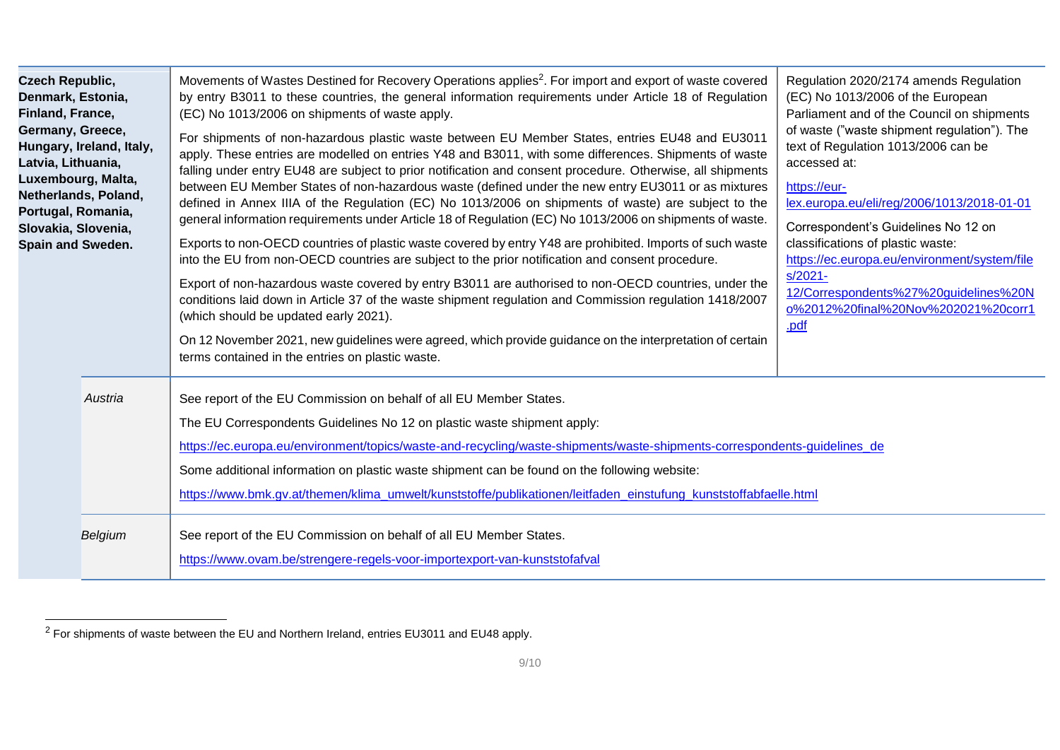| <b>Czech Republic,</b><br>Denmark, Estonia,<br>Finland, France,<br>Germany, Greece,<br>Hungary, Ireland, Italy,<br>Latvia, Lithuania,<br>Luxembourg, Malta,<br>Netherlands, Poland,<br>Portugal, Romania,<br>Slovakia, Slovenia,<br>Spain and Sweden. | Movements of Wastes Destined for Recovery Operations applies <sup>2</sup> . For import and export of waste covered<br>by entry B3011 to these countries, the general information requirements under Article 18 of Regulation<br>(EC) No 1013/2006 on shipments of waste apply.<br>For shipments of non-hazardous plastic waste between EU Member States, entries EU48 and EU3011<br>apply. These entries are modelled on entries Y48 and B3011, with some differences. Shipments of waste<br>falling under entry EU48 are subject to prior notification and consent procedure. Otherwise, all shipments<br>between EU Member States of non-hazardous waste (defined under the new entry EU3011 or as mixtures<br>defined in Annex IIIA of the Regulation (EC) No 1013/2006 on shipments of waste) are subject to the<br>general information requirements under Article 18 of Regulation (EC) No 1013/2006 on shipments of waste.<br>Exports to non-OECD countries of plastic waste covered by entry Y48 are prohibited. Imports of such waste<br>into the EU from non-OECD countries are subject to the prior notification and consent procedure.<br>Export of non-hazardous waste covered by entry B3011 are authorised to non-OECD countries, under the<br>conditions laid down in Article 37 of the waste shipment regulation and Commission regulation 1418/2007<br>(which should be updated early 2021).<br>On 12 November 2021, new guidelines were agreed, which provide guidance on the interpretation of certain<br>terms contained in the entries on plastic waste. | Regulation 2020/2174 amends Regulation<br>(EC) No 1013/2006 of the European<br>Parliament and of the Council on shipments<br>of waste ("waste shipment regulation"). The<br>text of Regulation 1013/2006 can be<br>accessed at:<br>https://eur-<br>lex.europa.eu/eli/reg/2006/1013/2018-01-01<br>Correspondent's Guidelines No 12 on<br>classifications of plastic waste:<br>https://ec.europa.eu/environment/system/file<br>$s/2021 -$<br>12/Correspondents%27%20guidelines%20N<br>o%2012%20final%20Nov%202021%20corr1<br>.pdf |  |
|-------------------------------------------------------------------------------------------------------------------------------------------------------------------------------------------------------------------------------------------------------|-------------------------------------------------------------------------------------------------------------------------------------------------------------------------------------------------------------------------------------------------------------------------------------------------------------------------------------------------------------------------------------------------------------------------------------------------------------------------------------------------------------------------------------------------------------------------------------------------------------------------------------------------------------------------------------------------------------------------------------------------------------------------------------------------------------------------------------------------------------------------------------------------------------------------------------------------------------------------------------------------------------------------------------------------------------------------------------------------------------------------------------------------------------------------------------------------------------------------------------------------------------------------------------------------------------------------------------------------------------------------------------------------------------------------------------------------------------------------------------------------------------------------------------------------------------------------------|---------------------------------------------------------------------------------------------------------------------------------------------------------------------------------------------------------------------------------------------------------------------------------------------------------------------------------------------------------------------------------------------------------------------------------------------------------------------------------------------------------------------------------|--|
| Austria                                                                                                                                                                                                                                               | See report of the EU Commission on behalf of all EU Member States.<br>The EU Correspondents Guidelines No 12 on plastic waste shipment apply:<br>https://ec.europa.eu/environment/topics/waste-and-recycling/waste-shipments/waste-shipments-correspondents-guidelines_de<br>Some additional information on plastic waste shipment can be found on the following website:<br>https://www.bmk.gv.at/themen/klima_umwelt/kunststoffe/publikationen/leitfaden_einstufung_kunststoffabfaelle.html                                                                                                                                                                                                                                                                                                                                                                                                                                                                                                                                                                                                                                                                                                                                                                                                                                                                                                                                                                                                                                                                                 |                                                                                                                                                                                                                                                                                                                                                                                                                                                                                                                                 |  |
| Belgium                                                                                                                                                                                                                                               | See report of the EU Commission on behalf of all EU Member States.<br>https://www.ovam.be/strengere-regels-voor-importexport-van-kunststofafval                                                                                                                                                                                                                                                                                                                                                                                                                                                                                                                                                                                                                                                                                                                                                                                                                                                                                                                                                                                                                                                                                                                                                                                                                                                                                                                                                                                                                               |                                                                                                                                                                                                                                                                                                                                                                                                                                                                                                                                 |  |

 $2$  For shipments of waste between the EU and Northern Ireland, entries EU3011 and EU48 apply.